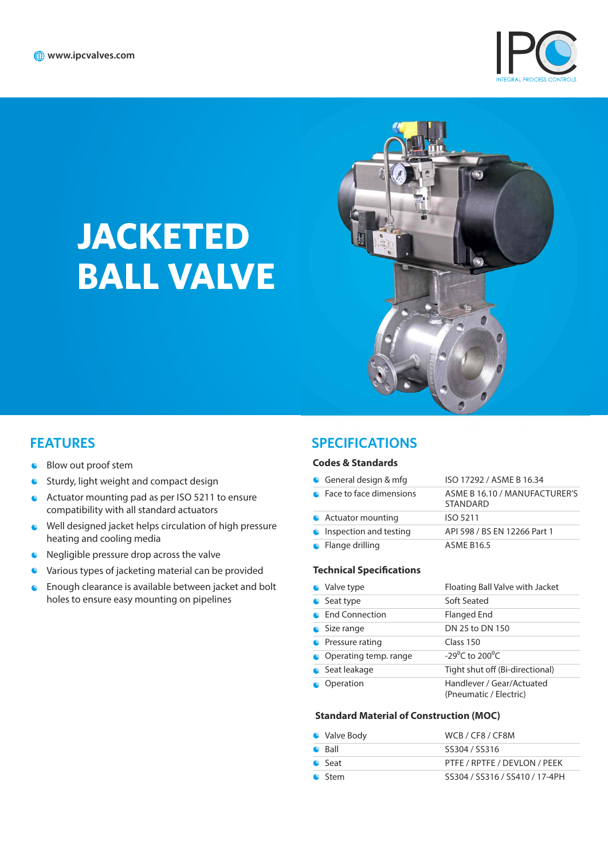

# **JACKETED BALL VALVE**



## **FEATURES**

- Blow out proof stem
- **Sturdy, light weight and compact design**
- Actuator mounting pad as per ISO 5211 to ensure compatibility with all standard actuators
- Well designed jacket helps circulation of high pressure heating and cooling media
- **C** Negligible pressure drop across the valve
- $\bullet$ Various types of jacketing material can be provided
- **C** Enough clearance is available between jacket and bolt holes to ensure easy mounting on pipelines

### **SPECIFICATIONS**

#### **Codes & Standards**

| General design $&$ mfg    | ISO 17292 / ASME B 16.34                         |
|---------------------------|--------------------------------------------------|
| • Face to face dimensions | ASME B 16.10 / MANUFACTURER'S<br><b>STANDARD</b> |
| • Actuator mounting       | ISO 5211                                         |
| Inspection and testing    | API 598 / BS EN 12266 Part 1                     |
| $\bullet$ Flange drilling | <b>ASME B16.5</b>                                |

#### **Technical Specifications**

| • Valve type           | Floating Ball Valve with Jacket                     |
|------------------------|-----------------------------------------------------|
| Seat type<br>$\bullet$ | Soft Seated                                         |
| <b>End Connection</b>  | Flanged End                                         |
| Size range             | DN 25 to DN 150                                     |
| Pressure rating        | Class 150                                           |
| Operating temp. range  | -29 <sup>o</sup> C to 200 <sup>o</sup> C            |
| Seat leakage           | Tight shut off (Bi-directional)                     |
| Operation              | Handlever / Gear/Actuated<br>(Pneumatic / Flectric) |

#### **Standard Material of Construction (MOC)**

| • Valve Body   | WCB / CF8 / CF8M               |
|----------------|--------------------------------|
| $\bullet$ Ball | SS304 / SS316                  |
| • Seat         | PTFE / RPTFE / DEVLON / PEEK   |
| C Stem         | SS304 / SS316 / SS410 / 17-4PH |